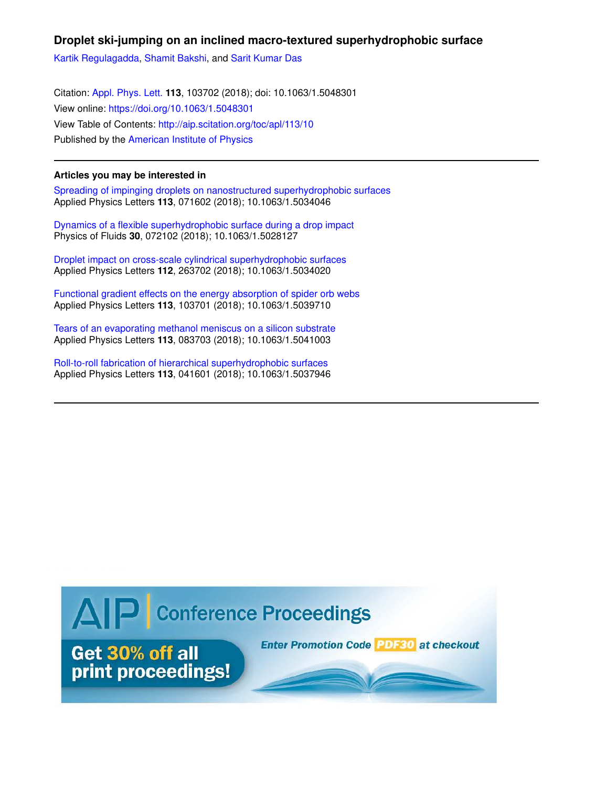## **Droplet ski-jumping on an inclined macro-textured superhydrophobic surface**

Kartik Regulagadda, Shamit Bakshi, and Sarit Kumar Das

Citation: Appl. Phys. Lett. **113**, 103702 (2018); doi: 10.1063/1.5048301 View online: https://doi.org/10.1063/1.5048301 View Table of Contents: http://aip.scitation.org/toc/apl/113/10 Published by the American Institute of Physics

## **Articles you may be interested in**

Spreading of impinging droplets on nanostructured superhydrophobic surfaces Applied Physics Letters **113**, 071602 (2018); 10.1063/1.5034046

Dynamics of a flexible superhydrophobic surface during a drop impact Physics of Fluids **30**, 072102 (2018); 10.1063/1.5028127

Droplet impact on cross-scale cylindrical superhydrophobic surfaces Applied Physics Letters **112**, 263702 (2018); 10.1063/1.5034020

Functional gradient effects on the energy absorption of spider orb webs Applied Physics Letters **113**, 103701 (2018); 10.1063/1.5039710

Tears of an evaporating methanol meniscus on a silicon substrate Applied Physics Letters **113**, 083703 (2018); 10.1063/1.5041003

Roll-to-roll fabrication of hierarchical superhydrophobic surfaces Applied Physics Letters **113**, 041601 (2018); 10.1063/1.5037946

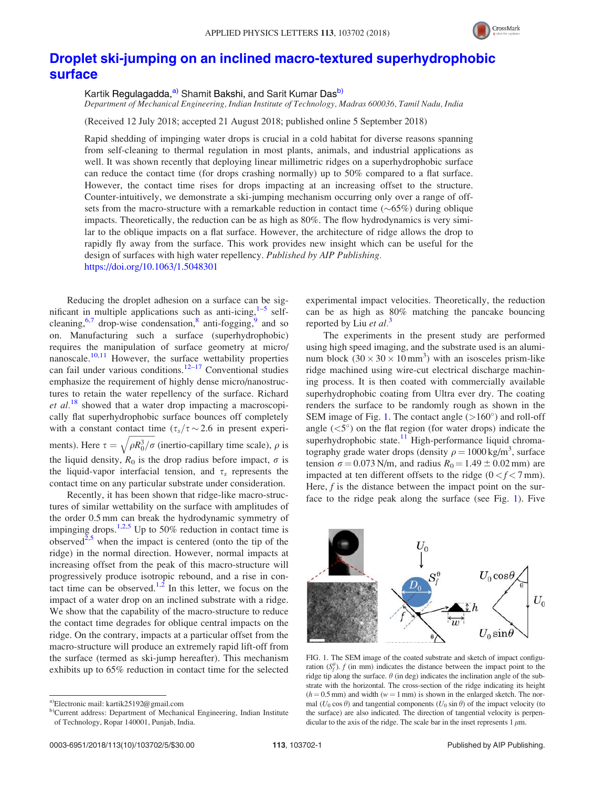

## Droplet ski-jumping on an inclined macro-textured superhydrophobic surface

Kartik Regulagadda,<sup>a)</sup> Shamit Bakshi, and Sarit Kumar Das<sup>b)</sup> Department of Mechanical Engineering, Indian Institute of Technology, Madras 600036, Tamil Nadu, India

(Received 12 July 2018; accepted 21 August 2018; published online 5 September 2018)

Rapid shedding of impinging water drops is crucial in a cold habitat for diverse reasons spanning from self-cleaning to thermal regulation in most plants, animals, and industrial applications as well. It was shown recently that deploying linear millimetric ridges on a superhydrophobic surface can reduce the contact time (for drops crashing normally) up to 50% compared to a flat surface. However, the contact time rises for drops impacting at an increasing offset to the structure. Counter-intuitively, we demonstrate a ski-jumping mechanism occurring only over a range of offsets from the macro-structure with a remarkable reduction in contact time  $(\sim 65%)$  during oblique impacts. Theoretically, the reduction can be as high as 80%. The flow hydrodynamics is very similar to the oblique impacts on a flat surface. However, the architecture of ridge allows the drop to rapidly fly away from the surface. This work provides new insight which can be useful for the design of surfaces with high water repellency. Published by AIP Publishing. https://doi.org/10.1063/1.5048301

Reducing the droplet adhesion on a surface can be significant in multiple applications such as anti-icing, $1-5$  selfcleaning,<sup>6,7</sup> drop-wise condensation,<sup>8</sup> anti-fogging,<sup>9</sup> and so on. Manufacturing such a surface (superhydrophobic) requires the manipulation of surface geometry at micro/ nanoscale.<sup>10,11</sup> However, the surface wettability properties can fail under various conditions.<sup>12–17</sup> Conventional studies emphasize the requirement of highly dense micro/nanostructures to retain the water repellency of the surface. Richard et  $al$ <sup>18</sup> showed that a water drop impacting a macroscopically flat superhydrophobic surface bounces off completely with a constant contact time  $(\tau_s/\tau \sim 2.6$  in present experiments). Here  $\tau = \sqrt{\rho R_0^3/\sigma}$  (inertio-capillary time scale),  $\rho$  is the liquid density,  $R_0$  is the drop radius before impact,  $\sigma$  is the liquid-vapor interfacial tension, and  $\tau_s$  represents the contact time on any particular substrate under consideration.

Recently, it has been shown that ridge-like macro-structures of similar wettability on the surface with amplitudes of the order 0.5 mm can break the hydrodynamic symmetry of impinging drops.<sup>1,2,5</sup> Up to 50% reduction in contact time is observed<sup>2,5</sup> when the impact is centered (onto the tip of the ridge) in the normal direction. However, normal impacts at increasing offset from the peak of this macro-structure will progressively produce isotropic rebound, and a rise in contact time can be observed.<sup>1,2</sup> In this letter, we focus on the impact of a water drop on an inclined substrate with a ridge. We show that the capability of the macro-structure to reduce the contact time degrades for oblique central impacts on the ridge. On the contrary, impacts at a particular offset from the macro-structure will produce an extremely rapid lift-off from the surface (termed as ski-jump hereafter). This mechanism exhibits up to 65% reduction in contact time for the selected experimental impact velocities. Theoretically, the reduction can be as high as 80% matching the pancake bouncing reported by Liu et al.<sup>3</sup>

The experiments in the present study are performed using high speed imaging, and the substrate used is an aluminum block  $(30 \times 30 \times 10 \text{ mm}^3)$  with an isosceles prism-like ridge machined using wire-cut electrical discharge machining process. It is then coated with commercially available superhydrophobic coating from Ultra ever dry. The coating renders the surface to be randomly rough as shown in the SEM image of Fig. 1. The contact angle  $(>160^{\circ})$  and roll-off angle  $(<5^\circ$ ) on the flat region (for water drops) indicate the superhydrophobic state.<sup>11</sup> High-performance liquid chromatography grade water drops (density  $\rho = 1000 \text{ kg/m}^3$ , surface tension  $\sigma = 0.073$  N/m, and radius  $R_0 = 1.49 \pm 0.02$  mm) are impacted at ten different offsets to the ridge  $(0 < f < 7$  mm). Here,  $f$  is the distance between the impact point on the surface to the ridge peak along the surface (see Fig. 1). Five



FIG. 1. The SEM image of the coated substrate and sketch of impact configuration  $(S_f^{\theta})$ . f (in mm) indicates the distance between the impact point to the ridge tip along the surface.  $\theta$  (in deg) indicates the inclination angle of the substrate with the horizontal. The cross-section of the ridge indicating its height  $(h = 0.5$  mm) and width ( $w = 1$  mm) is shown in the enlarged sketch. The normal ( $U_0 \cos \theta$ ) and tangential components ( $U_0 \sin \theta$ ) of the impact velocity (to the surface) are also indicated. The direction of tangential velocity is perpendicular to the axis of the ridge. The scale bar in the inset represents  $1 \mu m$ .

a)Electronic mail: kartik25192@gmail.com

b)Current address: Department of Mechanical Engineering, Indian Institute of Technology, Ropar 140001, Punjab, India.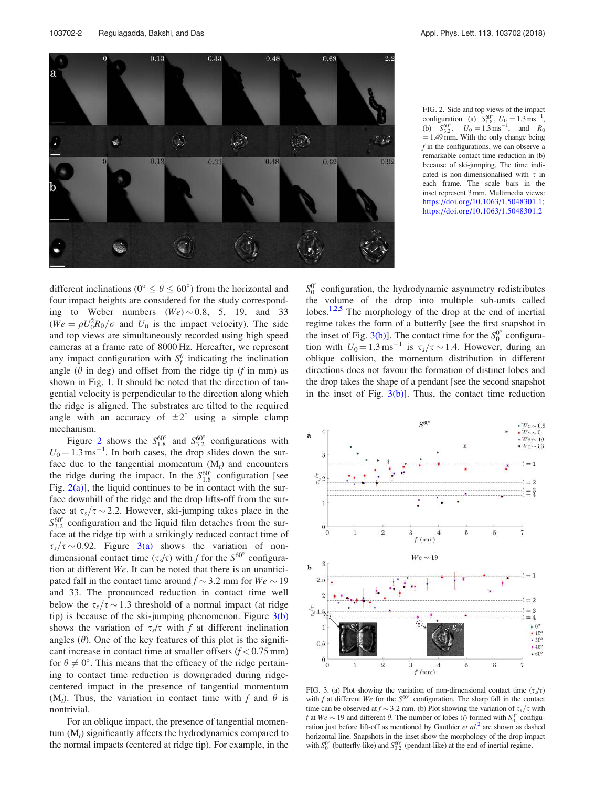



FIG. 2. Side and top views of the impact configuration (a)  $S_{1.8}^{60^\circ}$ ,  $U_0 = 1.3 \text{ ms}^{-1}$ , (b)  $S_{3.2}^{60^\circ}$ ,  $U_0 = 1.3 \text{ ms}^{-1}$ , and  $R_0$  $= 1.49$  mm. With the only change being  $f$  in the configurations, we can observe a remarkable contact time reduction in (b) because of ski-jumping. The time indicated is non-dimensionalised with  $\tau$  in each frame. The scale bars in the inset represent 3 mm. Multimedia views: https://doi.org/10.1063/1.5048301.1; https://doi.org/10.1063/1.5048301.2

different inclinations ( $0^{\circ} \le \theta \le 60^{\circ}$ ) from the horizontal and four impact heights are considered for the study corresponding to Weber numbers  $(We) \sim 0.8$ , 5, 19, and 33  $(We = \rho U_0^2 R_0 / \sigma$  and  $U_0$  is the impact velocity). The side and top views are simultaneously recorded using high speed cameras at a frame rate of 8000 Hz. Hereafter, we represent any impact configuration with  $S_f^{\theta}$  indicating the inclination angle ( $\theta$  in deg) and offset from the ridge tip ( $f$  in mm) as shown in Fig. 1. It should be noted that the direction of tangential velocity is perpendicular to the direction along which the ridge is aligned. The substrates are tilted to the required angle with an accuracy of  $\pm 2^{\circ}$  using a simple clamp mechanism.

Figure 2 shows the  $S_{1.8}^{60^{\circ}}$  and  $S_{3.2}^{60^{\circ}}$  configurations with  $U_0 = 1.3 \text{ ms}^{-1}$ . In both cases, the drop slides down the surface due to the tangential momentum  $(M_t)$  and encounters the ridge during the impact. In the  $S_{1.8}^{60^{\circ}}$  configuration [see Fig.  $2(a)$ ], the liquid continues to be in contact with the surface downhill of the ridge and the drop lifts-off from the surface at  $\tau_s/\tau \sim 2.2$ . However, ski-jumping takes place in the  $S_{3,2}^{60\degree}$  configuration and the liquid film detaches from the surface at the ridge tip with a strikingly reduced contact time of  $\tau_s/\tau \sim 0.92$ . Figure 3(a) shows the variation of nondimensional contact time  $(\tau_s/\tau)$  with f for the  $S^{60^\circ}$  configuration at different We. It can be noted that there is an unanticipated fall in the contact time around  $f \sim 3.2$  mm for  $We \sim 19$ and 33. The pronounced reduction in contact time well below the  $\tau_s/\tau \sim 1.3$  threshold of a normal impact (at ridge tip) is because of the ski-jumping phenomenon. Figure  $3(b)$ shows the variation of  $\tau_s/\tau$  with f at different inclination angles  $(\theta)$ . One of the key features of this plot is the significant increase in contact time at smaller offsets  $(f < 0.75$  mm) for  $\theta \neq 0^{\circ}$ . This means that the efficacy of the ridge pertaining to contact time reduction is downgraded during ridgecentered impact in the presence of tangential momentum  $(M_t)$ . Thus, the variation in contact time with f and  $\theta$  is nontrivial.

For an oblique impact, the presence of tangential momentum  $(M_t)$  significantly affects the hydrodynamics compared to the normal impacts (centered at ridge tip). For example, in the

 $S_0^0$ <sup>o</sup> configuration, the hydrodynamic asymmetry redistributes the volume of the drop into multiple sub-units called lobes.<sup>1,2,5</sup> The morphology of the drop at the end of inertial regime takes the form of a butterfly [see the first snapshot in the inset of Fig. 3(b)]. The contact time for the  $S_0^0$  configuration with  $U_0 = 1.3 \text{ ms}^{-1}$  is  $\tau_s/\tau \sim 1.4$ . However, during an oblique collision, the momentum distribution in different directions does not favour the formation of distinct lobes and the drop takes the shape of a pendant [see the second snapshot in the inset of Fig.  $3(b)$ ]. Thus, the contact time reduction



FIG. 3. (a) Plot showing the variation of non-dimensional contact time  $(\tau_s/\tau)$ with  $f$  at different We for the  $S^{60^{\circ}}$  configuration. The sharp fall in the contact time can be observed at  $f \sim 3.2$  mm. (b) Plot showing the variation of  $\tau_s/\tau$  with f at  $We \sim 19$  and different  $\theta$ . The number of lobes (*l*) formed with  $S_0^0$  configuration just before lift-off as mentioned by Gauthier  $et$   $al$ <sup>2</sup> are shown as dashed horizontal line. Snapshots in the inset show the morphology of the drop impact with  $S_0^{0\degree}$  (butterfly-like) and  $S_{3,2}^{0\degree}$  (pendant-like) at the end of inertial regime.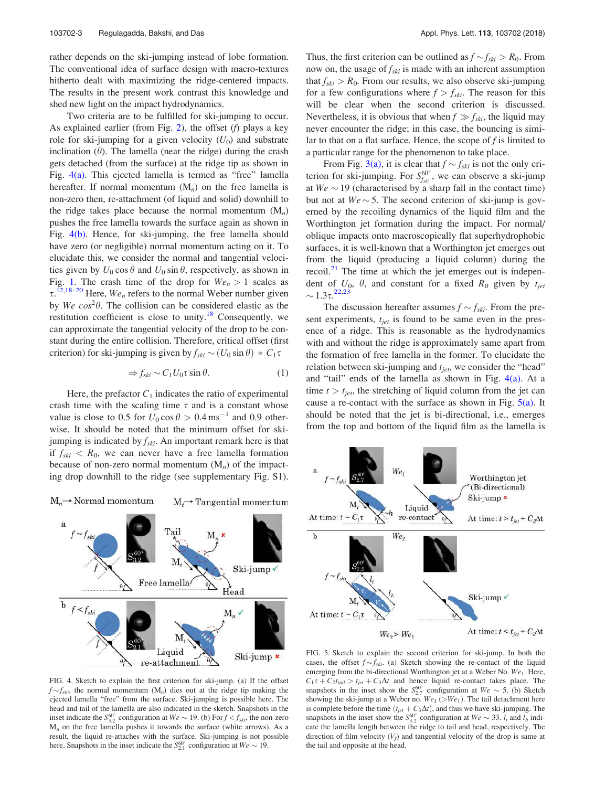rather depends on the ski-jumping instead of lobe formation. The conventional idea of surface design with macro-textures hitherto dealt with maximizing the ridge-centered impacts. The results in the present work contrast this knowledge and shed new light on the impact hydrodynamics.

Two criteria are to be fulfilled for ski-jumping to occur. As explained earlier (from Fig. 2), the offset  $(f)$  plays a key role for ski-jumping for a given velocity  $(U_0)$  and substrate inclination  $(\theta)$ . The lamella (near the ridge) during the crash gets detached (from the surface) at the ridge tip as shown in Fig. 4(a). This ejected lamella is termed as "free" lamella hereafter. If normal momentum  $(M_n)$  on the free lamella is non-zero then, re-attachment (of liquid and solid) downhill to the ridge takes place because the normal momentum  $(M_n)$ pushes the free lamella towards the surface again as shown in Fig. 4(b). Hence, for ski-jumping, the free lamella should have zero (or negligible) normal momentum acting on it. To elucidate this, we consider the normal and tangential velocities given by  $U_0 \cos \theta$  and  $U_0 \sin \theta$ , respectively, as shown in Fig. 1. The crash time of the drop for  $We_n > 1$  scales as  $\tau$ .<sup>12,18–20</sup> Here,  $We_n$  refers to the normal Weber number given by We  $cos^2\theta$ . The collision can be considered elastic as the restitution coefficient is close to unity.<sup>18</sup> Consequently, we can approximate the tangential velocity of the drop to be constant during the entire collision. Therefore, critical offset (first criterion) for ski-jumping is given by  $f_{ski} \sim (U_0 \sin \theta) * C_1 \tau$ 

$$
\Rightarrow f_{ski} \sim C_1 U_0 \tau \sin \theta. \tag{1}
$$

Here, the prefactor  $C_1$  indicates the ratio of experimental crash time with the scaling time  $\tau$  and is a constant whose value is close to 0.5 for  $U_0 \cos \theta > 0.4 \text{ ms}^{-1}$  and 0.9 otherwise. It should be noted that the minimum offset for skijumping is indicated by  $f_{ski}$ . An important remark here is that if  $f_{ski} < R_0$ , we can never have a free lamella formation because of non-zero normal momentum  $(M_n)$  of the impacting drop downhill to the ridge (see supplementary Fig. S1).



FIG. 4. Sketch to explain the first criterion for ski-jump. (a) If the offset  $f \sim f_{ski}$ , the normal momentum  $(M_n)$  dies out at the ridge tip making the ejected lamella "free" from the surface. Ski-jumping is possible here. The head and tail of the lamella are also indicated in the sketch. Snapshots in the inset indicate the  $S_{3,2}^{60^{\circ}}$  configuration at  $We \sim 19$ . (b) For  $f < f_{ski}$ , the non-zero  $M_n$  on the free lamella pushes it towards the surface (white arrows). As a result, the liquid re-attaches with the surface. Ski-jumping is not possible here. Snapshots in the inset indicate the  $S_{2.1}^{60^{\circ}}$  configuration at  $We \sim 19$ .

Thus, the first criterion can be outlined as  $f \sim f_{ski} > R_0$ . From now on, the usage of  $f_{ski}$  is made with an inherent assumption that  $f_{ski} > R_0$ . From our results, we also observe ski-jumping for a few configurations where  $f > f_{ski}$ . The reason for this will be clear when the second criterion is discussed. Nevertheless, it is obvious that when  $f \gg f_{ski}$ , the liquid may never encounter the ridge; in this case, the bouncing is similar to that on a flat surface. Hence, the scope of  $f$  is limited to a particular range for the phenomenon to take place.

From Fig. 3(a), it is clear that  $f \sim f_{ski}$  is not the only criterion for ski-jumping. For  $S_{f,k}^{60^{\circ}}$ , we can observe a ski-jump at  $We \sim 19$  (characterised by a sharp fall in the contact time) but not at  $We \sim 5$ . The second criterion of ski-jump is governed by the recoiling dynamics of the liquid film and the Worthington jet formation during the impact. For normal/ oblique impacts onto macroscopically flat superhydrophobic surfaces, it is well-known that a Worthington jet emerges out from the liquid (producing a liquid column) during the recoil. $^{21}$  The time at which the jet emerges out is independent of  $U_0$ ,  $\theta$ , and constant for a fixed  $R_0$  given by  $t_{jet}$  $\sim 1.3\tau^{22,23}$ 

The discussion hereafter assumes  $f \sim f_{ski}$ . From the present experiments,  $t_{jet}$  is found to be same even in the presence of a ridge. This is reasonable as the hydrodynamics with and without the ridge is approximately same apart from the formation of free lamella in the former. To elucidate the relation between ski-jumping and  $t_{jet}$ , we consider the "head" and "tail" ends of the lamella as shown in Fig.  $4(a)$ . At a time  $t > t_{jet}$ , the stretching of liquid column from the jet can cause a re-contact with the surface as shown in Fig.  $5(a)$ . It should be noted that the jet is bi-directional, i.e., emerges from the top and bottom of the liquid film as the lamella is



FIG. 5. Sketch to explain the second criterion for ski-jump. In both the cases, the offset  $f \sim f_{ski}$ . (a) Sketch showing the re-contact of the liquid emerging from the bi-directional Worthington jet at a Weber No.  $We<sub>1</sub>$ . Here,  $C_1\tau + C_2t_{tail} > t_{jet} + C_3\Delta t$  and hence liquid re-contact takes place. The snapshots in the inset show the  $S_{2.7}^{60^{\circ}}$  configuration at  $We \sim 5$ . (b) Sketch showing the ski-jump at a Weber no.  $We_2 (> We_1)$ . The tail detachment here is complete before the time  $(t_{jet} + C_3 \Delta t)$ , and thus we have ski-jumping. The snapshots in the inset show the  $S_{3,2}^{60^{\circ}}$  configuration at  $We \sim 33$ .  $l_t$  and  $l_h$  indicate the lamella length between the ridge to tail and head, respectively. The direction of film velocity  $(V_f)$  and tangential velocity of the drop is same at the tail and opposite at the head.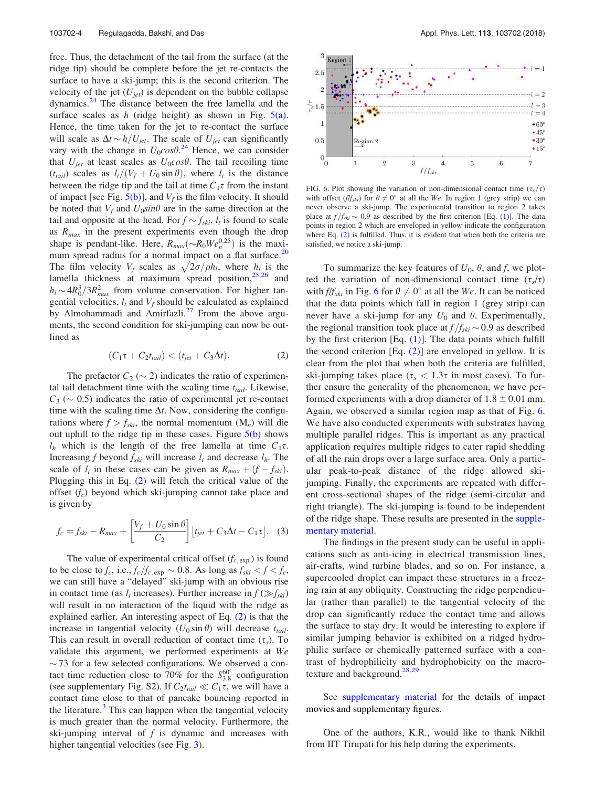free. Thus, the detachment of the tail from the surface (at the ridge tip) should be complete before the jet re-contacts the surface to have a ski-jump; this is the second criterion. The velocity of the jet  $(U_{jet})$  is dependent on the bubble collapse dynamics. $24$  The distance between the free lamella and the surface scales as  $h$  (ridge height) as shown in Fig.  $5(a)$ . Hence, the time taken for the jet to re-contact the surface will scale as  $\Delta t \sim h/U_{jet}$ . The scale of  $U_{jet}$  can significantly vary with the change in  $U_0 cos \theta$ .<sup>24</sup> Hence, we can consider that  $U_{jet}$  at least scales as  $U_0 cos \theta$ . The tail recoiling time  $(t<sub>tail</sub>)$  scales as  $l_t/(V_f + U_0 \sin \theta)$ , where  $l_t$  is the distance between the ridge tip and the tail at time  $C_1\tau$  from the instant of impact [see Fig.  $5(b)$ ], and  $V_f$  is the film velocity. It should be noted that  $V_f$  and  $U_0 \sin\theta$  are in the same direction at the tail and opposite at the head. For  $f \sim f_{ski}$ ,  $l_t$  is found to scale as  $R_{max}$  in the present experiments even though the drop shape is pendant-like. Here,  $R_{max}(\sim R_0We_n^{0.25})$  is the maximum spread radius for a normal impact on a flat surface. $20$ The film velocity  $V_f$  scales as  $\sqrt{2\sigma/\rho h_l}$ , where  $h_l$  is the lamella thickness at maximum spread position, $25,26$  and  $h_l \sim 4R_0^3/3R_{max}^2$  from volume conservation. For higher tangential velocities,  $l_t$  and  $V_f$  should be calculated as explained by Almohammadi and Amirfazli.<sup>27</sup> From the above arguments, the second condition for ski-jumping can now be outlined as

$$
(C_1\tau + C_2t_{tail}) < (t_{jet} + C_3\Delta t). \tag{2}
$$

The prefactor  $C_2 \sim 2$ ) indicates the ratio of experimental tail detachment time with the scaling time  $t_{tail}$ . Likewise,  $C_3 \sim 0.5$ ) indicates the ratio of experimental jet re-contact time with the scaling time  $\Delta t$ . Now, considering the configurations where  $f > f_{ski}$ , the normal momentum  $(M_n)$  will die out uphill to the ridge tip in these cases. Figure  $5(b)$  shows  $l_h$  which is the length of the free lamella at time  $C_1\tau$ . Increasing f beyond  $f_{ski}$  will increase  $l_t$  and decrease  $l_h$ . The scale of  $l_t$  in these cases can be given as  $R_{max} + (f - f_{ski})$ . Plugging this in Eq. (2) will fetch the critical value of the offset  $(f_c)$  beyond which ski-jumping cannot take place and is given by

$$
f_c = f_{ski} - R_{max} + \left[\frac{V_f + U_0 \sin \theta}{C_2}\right] \left[t_{jet} + C_3 \Delta t - C_1 \tau\right]. \tag{3}
$$

The value of experimental critical offset  $(f_{c, \exp})$  is found to be close to  $f_c$ , i.e.,  $f_c/f_{c, \exp} \sim 0.8$ . As long as  $f_{ski} < f < f_c$ , we can still have a "delayed" ski-jump with an obvious rise in contact time (as  $l_t$  increases). Further increase in  $f(\gg f_{\text{ski}})$ will result in no interaction of the liquid with the ridge as explained earlier. An interesting aspect of Eq. (2) is that the increase in tangential velocity  $(U_0 \sin \theta)$  will decrease  $t_{tail}$ . This can result in overall reduction of contact time  $(\tau_s)$ . To validate this argument, we performed experiments at We  $\sim$  73 for a few selected configurations. We observed a contact time reduction close to 70% for the  $S_{3.8}^{60^\circ}$  configuration (see supplementary Fig. S2). If  $C_2t_{tail} \ll C_1\tau$ , we will have a contact time close to that of pancake bouncing reported in the literature.<sup>3</sup> This can happen when the tangential velocity is much greater than the normal velocity. Furthermore, the ski-jumping interval of  $f$  is dynamic and increases with higher tangential velocities (see Fig. 3).



FIG. 6. Plot showing the variation of non-dimensional contact time  $(\tau_s/\tau)$ with offset  $(f/f_{ski})$  for  $\theta \neq 0^{\circ}$  at all the We. In region 1 (grey strip) we can never observe a ski-jump. The experimental transition to region 2 takes place at  $f/f_{ski} \sim 0.9$  as described by the first criterion [Eq. (1)]. The data points in region 2 which are enveloped in yellow indicate the configuration where Eq. (2) is fulfilled. Thus, it is evident that when both the criteria are satisfied, we notice a ski-jump.

To summarize the key features of  $U_0$ ,  $\theta$ , and f, we plotted the variation of non-dimensional contact time  $(\tau_s/\tau)$ with  $f/f_{ski}$  in Fig. 6 for  $\theta \neq 0^{\circ}$  at all the We. It can be noticed that the data points which fall in region 1 (grey strip) can never have a ski-jump for any  $U_0$  and  $\theta$ . Experimentally, the regional transition took place at  $f/f_{ski} \sim 0.9$  as described by the first criterion [Eq. (1)]. The data points which fulfill the second criterion  $[Eq. (2)]$  are enveloped in yellow. It is clear from the plot that when both the criteria are fulfilled, ski-jumping takes place ( $\tau_s < 1.3\tau$  in most cases). To further ensure the generality of the phenomenon, we have performed experiments with a drop diameter of  $1.8 \pm 0.01$  mm. Again, we observed a similar region map as that of Fig. 6. We have also conducted experiments with substrates having multiple parallel ridges. This is important as any practical application requires multiple ridges to cater rapid shedding of all the rain drops over a large surface area. Only a particular peak-to-peak distance of the ridge allowed skijumping. Finally, the experiments are repeated with different cross-sectional shapes of the ridge (semi-circular and right triangle). The ski-jumping is found to be independent of the ridge shape. These results are presented in the supplementary material.

The findings in the present study can be useful in applications such as anti-icing in electrical transmission lines, air-crafts, wind turbine blades, and so on. For instance, a supercooled droplet can impact these structures in a freezing rain at any obliquity. Constructing the ridge perpendicular (rather than parallel) to the tangential velocity of the drop can significantly reduce the contact time and allows the surface to stay dry. It would be interesting to explore if similar jumping behavior is exhibited on a ridged hydrophilic surface or chemically patterned surface with a contrast of hydrophilicity and hydrophobicity on the macrotexture and background.<sup>28,29</sup>

See supplementary material for the details of impact movies and supplementary figures.

One of the authors, K.R., would like to thank Nikhil from IIT Tirupati for his help during the experiments.